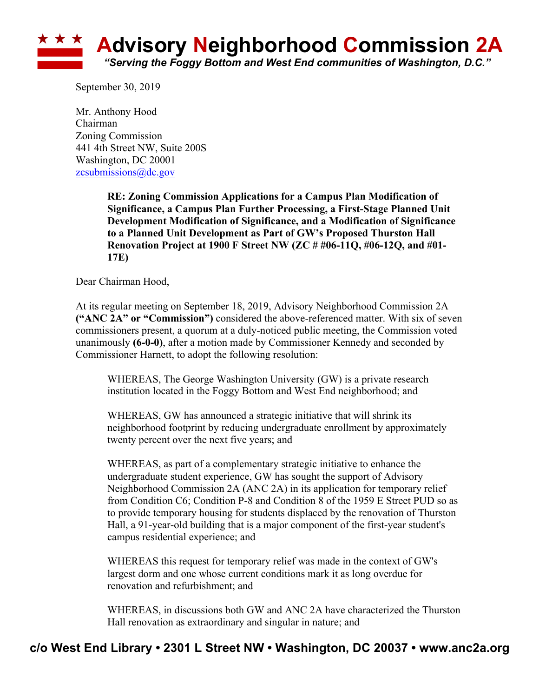

September 30, 2019

Mr. Anthony Hood Chairman Zoning Commission 441 4th Street NW, Suite 200S Washington, DC 20001 zcsubmissions@dc.gov

> **RE: Zoning Commission Applications for a Campus Plan Modification of Significance, a Campus Plan Further Processing, a First-Stage Planned Unit Development Modification of Significance, and a Modification of Significance to a Planned Unit Development as Part of GW's Proposed Thurston Hall Renovation Project at 1900 F Street NW (ZC # #06-11Q, #06-12Q, and #01- 17E)**

Dear Chairman Hood,

At its regular meeting on September 18, 2019, Advisory Neighborhood Commission 2A **("ANC 2A" or "Commission")** considered the above-referenced matter. With six of seven commissioners present, a quorum at a duly-noticed public meeting, the Commission voted unanimously **(6-0-0)**, after a motion made by Commissioner Kennedy and seconded by Commissioner Harnett, to adopt the following resolution:

WHEREAS, The George Washington University (GW) is a private research institution located in the Foggy Bottom and West End neighborhood; and

WHEREAS, GW has announced a strategic initiative that will shrink its neighborhood footprint by reducing undergraduate enrollment by approximately twenty percent over the next five years; and

WHEREAS, as part of a complementary strategic initiative to enhance the undergraduate student experience, GW has sought the support of Advisory Neighborhood Commission 2A (ANC 2A) in its application for temporary relief from Condition C6; Condition P-8 and Condition 8 of the 1959 E Street PUD so as to provide temporary housing for students displaced by the renovation of Thurston Hall, a 91-year-old building that is a major component of the first-year student's campus residential experience; and

WHEREAS this request for temporary relief was made in the context of GW's largest dorm and one whose current conditions mark it as long overdue for renovation and refurbishment; and

WHEREAS, in discussions both GW and ANC 2A have characterized the Thurston Hall renovation as extraordinary and singular in nature; and

## **c/o West End Library • 2301 L Street NW • Washington, DC 20037 • www.anc2a.org**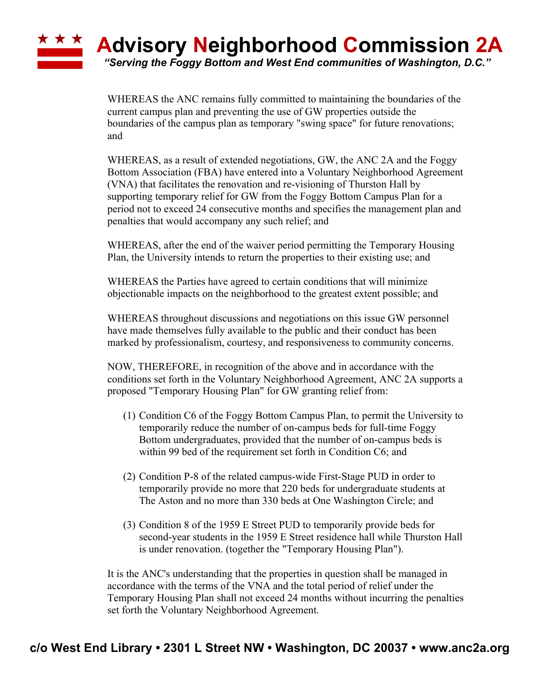## **Advisory Neighborhood Commission 2A** *"Serving the Foggy Bottom and West End communities of Washington, D.C."*

WHEREAS the ANC remains fully committed to maintaining the boundaries of the current campus plan and preventing the use of GW properties outside the boundaries of the campus plan as temporary "swing space" for future renovations; and

WHEREAS, as a result of extended negotiations, GW, the ANC 2A and the Foggy Bottom Association (FBA) have entered into a Voluntary Neighborhood Agreement (VNA) that facilitates the renovation and re-visioning of Thurston Hall by supporting temporary relief for GW from the Foggy Bottom Campus Plan for a period not to exceed 24 consecutive months and specifies the management plan and penalties that would accompany any such relief; and

WHEREAS, after the end of the waiver period permitting the Temporary Housing Plan, the University intends to return the properties to their existing use; and

WHEREAS the Parties have agreed to certain conditions that will minimize objectionable impacts on the neighborhood to the greatest extent possible; and

WHEREAS throughout discussions and negotiations on this issue GW personnel have made themselves fully available to the public and their conduct has been marked by professionalism, courtesy, and responsiveness to community concerns.

NOW, THEREFORE, in recognition of the above and in accordance with the conditions set forth in the Voluntary Neighborhood Agreement, ANC 2A supports a proposed "Temporary Housing Plan" for GW granting relief from:

- (1) Condition C6 of the Foggy Bottom Campus Plan, to permit the University to temporarily reduce the number of on-campus beds for full-time Foggy Bottom undergraduates, provided that the number of on-campus beds is within 99 bed of the requirement set forth in Condition C6; and
- (2) Condition P-8 of the related campus-wide First-Stage PUD in order to temporarily provide no more that 220 beds for undergraduate students at The Aston and no more than 330 beds at One Washington Circle; and
- (3) Condition 8 of the 1959 E Street PUD to temporarily provide beds for second-year students in the 1959 E Street residence hall while Thurston Hall is under renovation. (together the "Temporary Housing Plan").

It is the ANC's understanding that the properties in question shall be managed in accordance with the terms of the VNA and the total period of relief under the Temporary Housing Plan shall not exceed 24 months without incurring the penalties set forth the Voluntary Neighborhood Agreement.